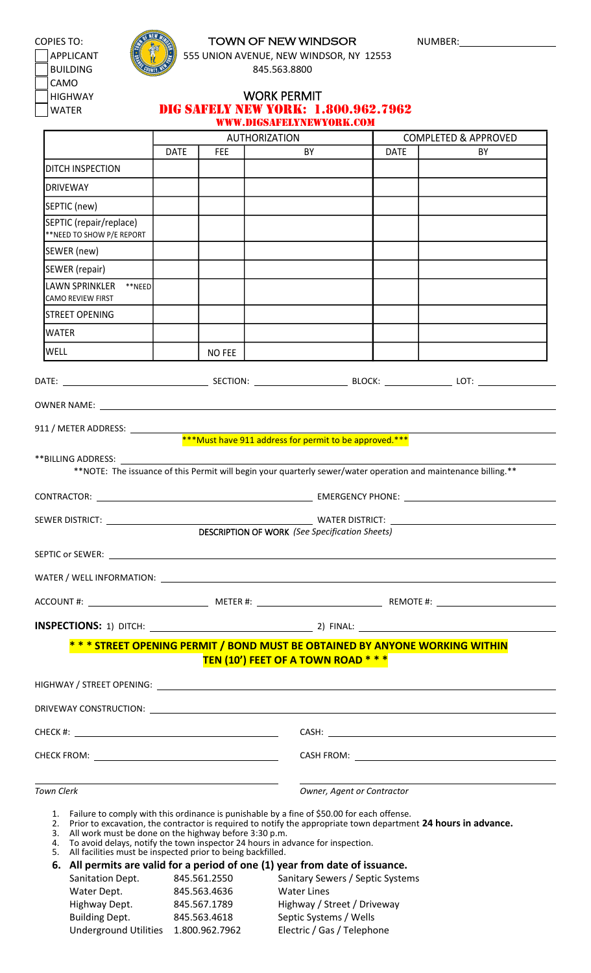CAMO



## COPIES TO: **TOWN OF NEW WINDSOR** NUMBER:

APPLICANT  $\left[\begin{matrix} 1 & 1 \\ 1 & 1 \end{matrix}\right]$  555 UNION AVENUE, NEW WINDSOR, NY 12553 BUILDING 845.563.8800

HIGHWAY **WORK PERMIT** WATER **DIG SAFELY NEW YORK: 1.800.962.7962** WWW.DIGSAFELYNEWYORK.COM

|                                                                                                                                                                                                                                                                                                                                                                    |                              | <b>AUTHORIZATION</b>                                                                                                                                        |             | <b>COMPLETED &amp; APPROVED</b> |
|--------------------------------------------------------------------------------------------------------------------------------------------------------------------------------------------------------------------------------------------------------------------------------------------------------------------------------------------------------------------|------------------------------|-------------------------------------------------------------------------------------------------------------------------------------------------------------|-------------|---------------------------------|
|                                                                                                                                                                                                                                                                                                                                                                    | <b>DATE</b><br><b>FEE</b>    | BY                                                                                                                                                          | <b>DATE</b> | BY                              |
| DITCH INSPECTION                                                                                                                                                                                                                                                                                                                                                   |                              |                                                                                                                                                             |             |                                 |
| DRIVEWAY                                                                                                                                                                                                                                                                                                                                                           |                              |                                                                                                                                                             |             |                                 |
| SEPTIC (new)                                                                                                                                                                                                                                                                                                                                                       |                              |                                                                                                                                                             |             |                                 |
| SEPTIC (repair/replace)<br>**NEED TO SHOW P/E REPORT                                                                                                                                                                                                                                                                                                               |                              |                                                                                                                                                             |             |                                 |
| SEWER (new)                                                                                                                                                                                                                                                                                                                                                        |                              |                                                                                                                                                             |             |                                 |
| SEWER (repair)                                                                                                                                                                                                                                                                                                                                                     |                              |                                                                                                                                                             |             |                                 |
| LAWN SPRINKLER ** NEED<br>CAMO REVIEW FIRST                                                                                                                                                                                                                                                                                                                        |                              |                                                                                                                                                             |             |                                 |
| <b>STREET OPENING</b>                                                                                                                                                                                                                                                                                                                                              |                              |                                                                                                                                                             |             |                                 |
| <b>WATER</b>                                                                                                                                                                                                                                                                                                                                                       |                              |                                                                                                                                                             |             |                                 |
| <b>WELL</b>                                                                                                                                                                                                                                                                                                                                                        | NO FEE                       |                                                                                                                                                             |             |                                 |
|                                                                                                                                                                                                                                                                                                                                                                    |                              |                                                                                                                                                             |             |                                 |
|                                                                                                                                                                                                                                                                                                                                                                    |                              |                                                                                                                                                             |             |                                 |
|                                                                                                                                                                                                                                                                                                                                                                    |                              |                                                                                                                                                             |             |                                 |
|                                                                                                                                                                                                                                                                                                                                                                    |                              | ***Must have 911 address for permit to be approved.***                                                                                                      |             |                                 |
|                                                                                                                                                                                                                                                                                                                                                                    |                              |                                                                                                                                                             |             |                                 |
|                                                                                                                                                                                                                                                                                                                                                                    |                              | **NOTE: The issuance of this Permit will begin your quarterly sewer/water operation and maintenance billing.**                                              |             |                                 |
|                                                                                                                                                                                                                                                                                                                                                                    |                              |                                                                                                                                                             |             |                                 |
|                                                                                                                                                                                                                                                                                                                                                                    |                              |                                                                                                                                                             |             |                                 |
|                                                                                                                                                                                                                                                                                                                                                                    |                              | <b>DESCRIPTION OF WORK (See Specification Sheets)</b>                                                                                                       |             |                                 |
| SEPTIC or SEWER:                                                                                                                                                                                                                                                                                                                                                   |                              |                                                                                                                                                             |             |                                 |
|                                                                                                                                                                                                                                                                                                                                                                    |                              |                                                                                                                                                             |             |                                 |
|                                                                                                                                                                                                                                                                                                                                                                    |                              |                                                                                                                                                             |             |                                 |
|                                                                                                                                                                                                                                                                                                                                                                    |                              |                                                                                                                                                             |             |                                 |
|                                                                                                                                                                                                                                                                                                                                                                    |                              |                                                                                                                                                             |             |                                 |
|                                                                                                                                                                                                                                                                                                                                                                    |                              | * * * STREET OPENING PERMIT / BOND MUST BE OBTAINED BY ANYONE WORKING WITHIN<br>TEN (10') FEET OF A TOWN ROAD * * *                                         |             |                                 |
|                                                                                                                                                                                                                                                                                                                                                                    |                              |                                                                                                                                                             |             |                                 |
|                                                                                                                                                                                                                                                                                                                                                                    |                              |                                                                                                                                                             |             |                                 |
|                                                                                                                                                                                                                                                                                                                                                                    |                              |                                                                                                                                                             |             |                                 |
| <b>Town Clerk</b>                                                                                                                                                                                                                                                                                                                                                  |                              | Owner, Agent or Contractor                                                                                                                                  |             |                                 |
| 1. Failure to comply with this ordinance is punishable by a fine of \$50.00 for each offense.<br>2. Prior to excavation, the contractor is required to notify the appropriate town department 24 hours in advance.<br>All work must be done on the highway before 3:30 p.m.<br>3.<br>4.<br>All facilities must be inspected prior to being backfilled.<br>5.<br>6. |                              | To avoid delays, notify the town inspector 24 hours in advance for inspection.<br>All permits are valid for a period of one (1) year from date of issuance. |             |                                 |
| Sanitation Dept.<br>Water Dept.                                                                                                                                                                                                                                                                                                                                    | 845.561.2550<br>845.563.4636 | Sanitary Sewers / Septic Systems<br><b>Water Lines</b>                                                                                                      |             |                                 |
| Highway Dept.                                                                                                                                                                                                                                                                                                                                                      | 845.567.1789                 | Highway / Street / Driveway                                                                                                                                 |             |                                 |

Building Dept. 845.563.4618 Septic Systems / Wells Underground Utilities 1.800.962.7962 Electric / Gas / Telephone